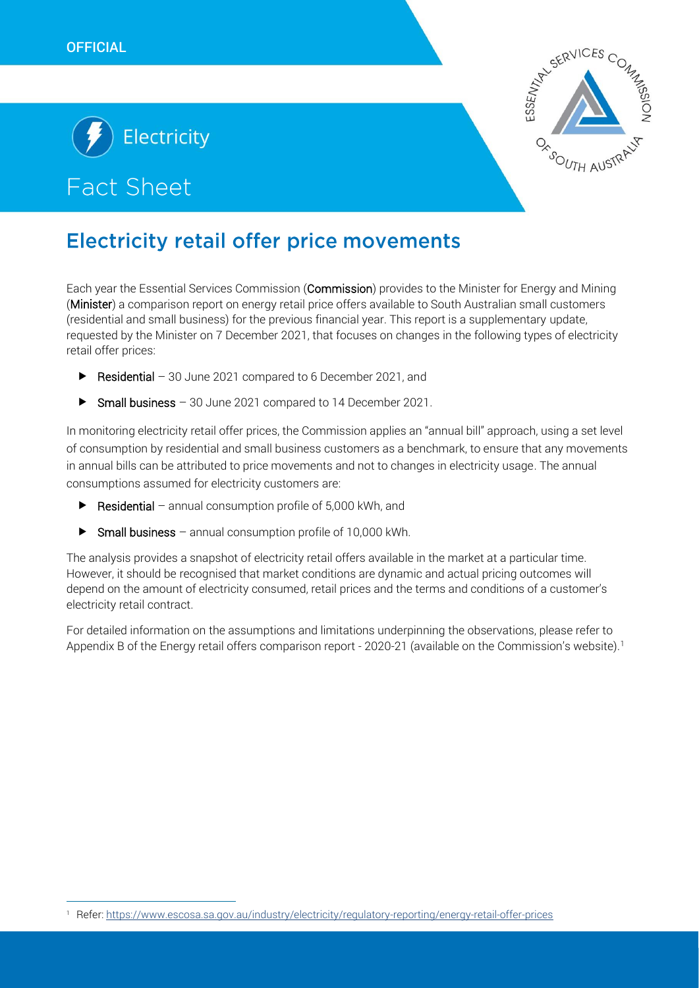



# **Electricity retail offer price movements**

Each year the Essential Services Commission (Commission) provides to the Minister for Energy and Mining (Minister) a comparison report on energy retail price offers available to South Australian small customers (residential and small business) for the previous financial year. This report is a supplementary update, requested by the Minister on 7 December 2021, that focuses on changes in the following types of electricity retail offer prices:

- ▶ Residential 30 June 2021 compared to 6 December 2021, and
- Small business 30 June 2021 compared to 14 December 2021.

In monitoring electricity retail offer prices, the Commission applies an "annual bill" approach, using a set level of consumption by residential and small business customers as a benchmark, to ensure that any movements in annual bills can be attributed to price movements and not to changes in electricity usage. The annual consumptions assumed for electricity customers are:

- $\blacktriangleright$  Residential annual consumption profile of 5,000 kWh, and
- Small business annual consumption profile of 10,000 kWh.

The analysis provides a snapshot of electricity retail offers available in the market at a particular time. However, it should be recognised that market conditions are dynamic and actual pricing outcomes will depend on the amount of electricity consumed, retail prices and the terms and conditions of a customer's electricity retail contract.

For detailed information on the assumptions and limitations underpinning the observations, please refer to Appendix B of the Energy retail offers comparison report - 2020-21 (available on the Commission's website).<sup>1</sup>

<sup>1</sup> Refer[: https://www.escosa.sa.gov.au/industry/electricity/regulatory-reporting/energy-retail-offer-prices](https://www.escosa.sa.gov.au/industry/electricity/regulatory-reporting/energy-retail-offer-prices)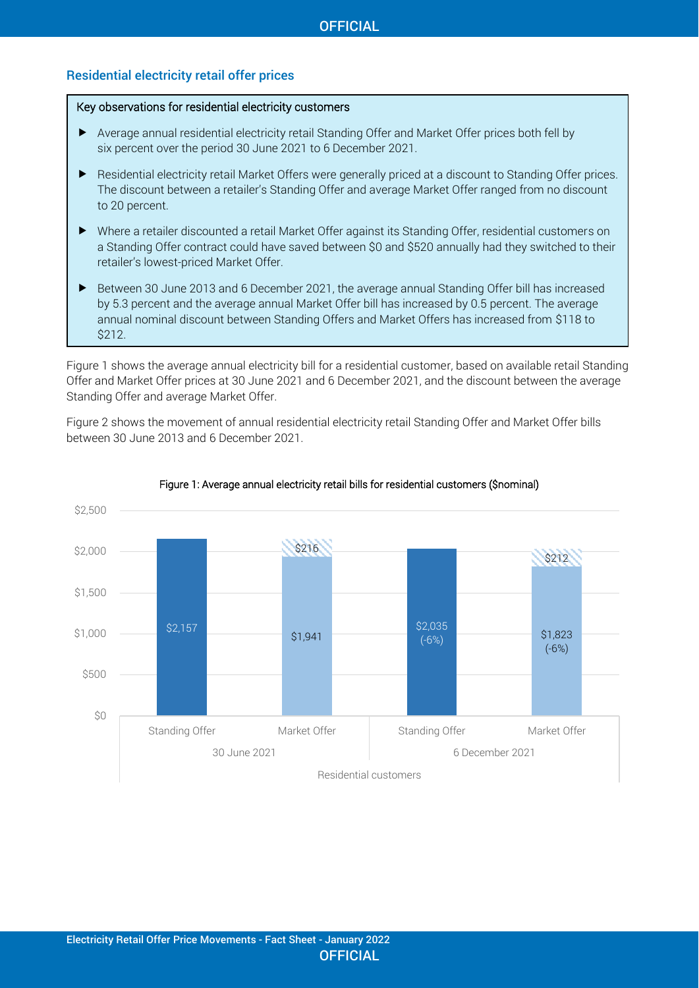## Residential electricity retail offer prices

#### Key observations for residential electricity customers

- Average annual residential electricity retail Standing Offer and Market Offer prices both fell by six percent over the period 30 June 2021 to 6 December 2021.
- Residential electricity retail Market Offers were generally priced at a discount to Standing Offer prices. The discount between a retailer's Standing Offer and average Market Offer ranged from no discount to 20 percent.
- Where a retailer discounted a retail Market Offer against its Standing Offer, residential customers on a Standing Offer contract could have saved between \$0 and \$520 annually had they switched to their retailer's lowest-priced Market Offer.
- Between 30 June 2013 and 6 December 2021, the average annual Standing Offer bill has increased by 5.3 percent and the average annual Market Offer bill has increased by 0.5 percent. The average annual nominal discount between Standing Offers and Market Offers has increased from \$118 to \$212.

Figure 1 shows the average annual electricity bill for a residential customer, based on available retail Standing Offer and Market Offer prices at 30 June 2021 and 6 December 2021, and the discount between the average Standing Offer and average Market Offer.

Figure 2 shows the movement of annual residential electricity retail Standing Offer and Market Offer bills between 30 June 2013 and 6 December 2021.



#### Figure 1: Average annual electricity retail bills for residential customers (\$nominal)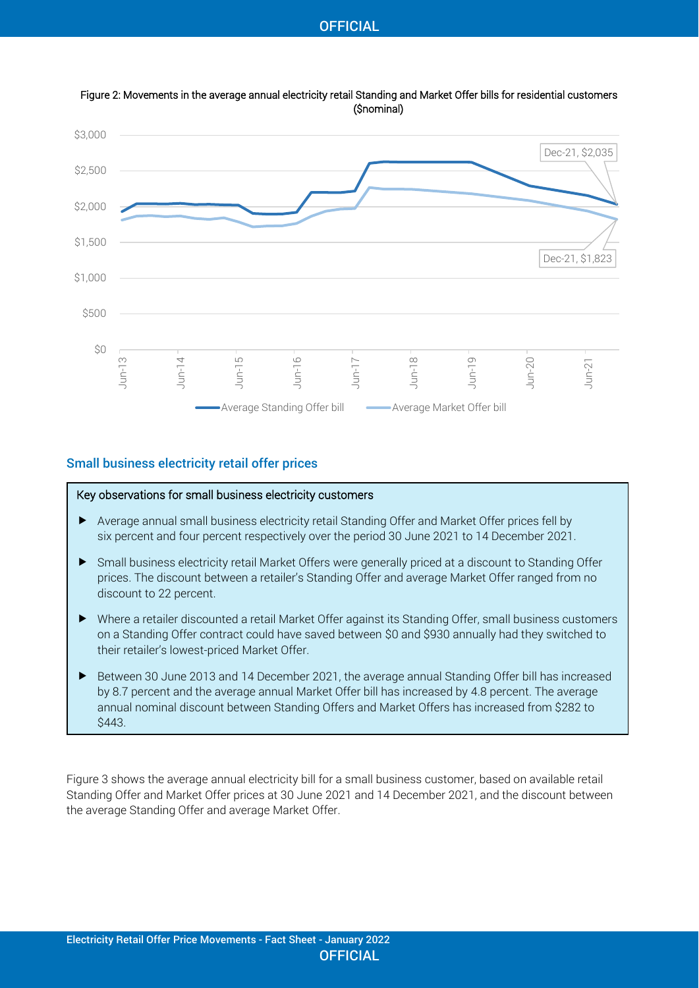



## Small business electricity retail offer prices

#### Key observations for small business electricity customers

- Average annual small business electricity retail Standing Offer and Market Offer prices fell by six percent and four percent respectively over the period 30 June 2021 to 14 December 2021.
- Small business electricity retail Market Offers were generally priced at a discount to Standing Offer prices. The discount between a retailer's Standing Offer and average Market Offer ranged from no discount to 22 percent.
- Where a retailer discounted a retail Market Offer against its Standing Offer, small business customers on a Standing Offer contract could have saved between \$0 and \$930 annually had they switched to their retailer's lowest-priced Market Offer.
- Between 30 June 2013 and 14 December 2021, the average annual Standing Offer bill has increased by 8.7 percent and the average annual Market Offer bill has increased by 4.8 percent. The average annual nominal discount between Standing Offers and Market Offers has increased from \$282 to \$443.

Figure 3 shows the average annual electricity bill for a small business customer, based on available retail Standing Offer and Market Offer prices at 30 June 2021 and 14 December 2021, and the discount between the average Standing Offer and average Market Offer.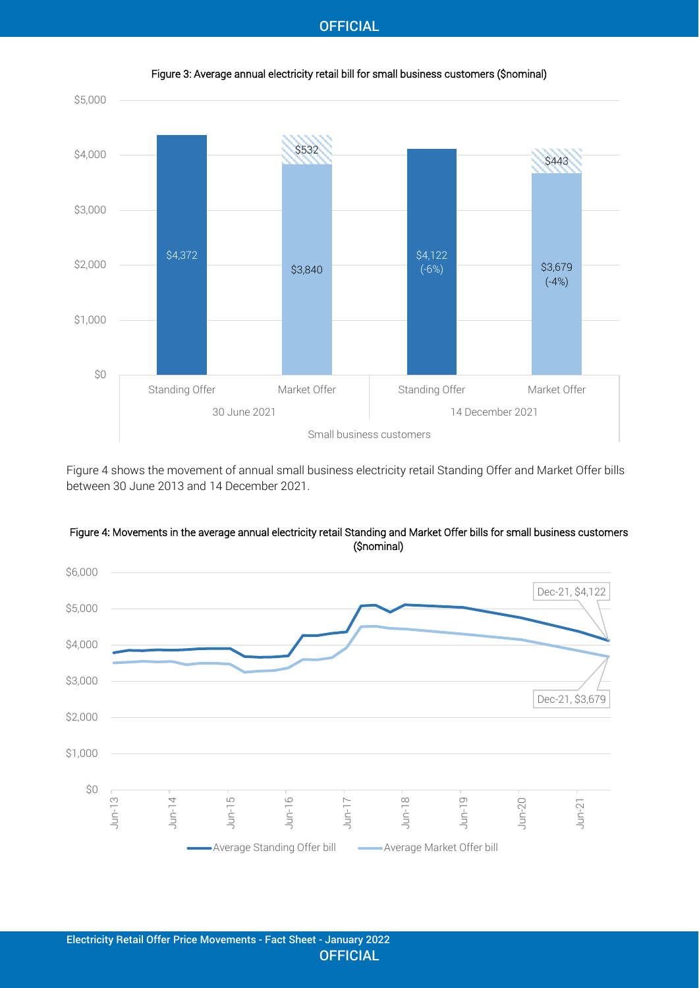

Figure 3: Average annual electricity retail bill for small business customers (\$nominal)

Figure 4 shows the movement of annual small business electricity retail Standing Offer and Market Offer bills between 30 June 2013 and 14 December 2021.



#### Figure 4: Movements in the average annual electricity retail Standing and Market Offer bills for small business customers (\$nominal)